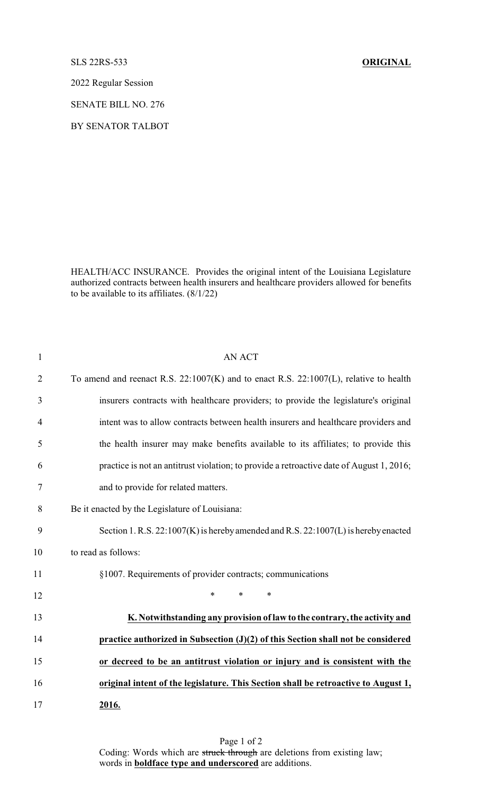## SLS 22RS-533 **ORIGINAL**

2022 Regular Session

SENATE BILL NO. 276

BY SENATOR TALBOT

HEALTH/ACC INSURANCE. Provides the original intent of the Louisiana Legislature authorized contracts between health insurers and healthcare providers allowed for benefits to be available to its affiliates. (8/1/22)

| $\mathbf{1}$   | <b>AN ACT</b>                                                                              |
|----------------|--------------------------------------------------------------------------------------------|
| $\overline{2}$ | To amend and reenact R.S. $22:1007(K)$ and to enact R.S. $22:1007(L)$ , relative to health |
| 3              | insurers contracts with healthcare providers; to provide the legislature's original        |
| 4              | intent was to allow contracts between health insurers and healthcare providers and         |
| 5              | the health insurer may make benefits available to its affiliates; to provide this          |
| 6              | practice is not an antitrust violation; to provide a retroactive date of August 1, 2016;   |
| 7              | and to provide for related matters.                                                        |
| 8              | Be it enacted by the Legislature of Louisiana:                                             |
| 9              | Section 1. R.S. $22:1007(K)$ is hereby amended and R.S. $22:1007(L)$ is hereby enacted     |
| 10             | to read as follows:                                                                        |
| 11             | §1007. Requirements of provider contracts; communications                                  |
| 12             | $\ast$<br>$\ast$<br>$\ast$                                                                 |
| 13             | K. Notwithstanding any provision of law to the contrary, the activity and                  |
| 14             | practice authorized in Subsection $(J)(2)$ of this Section shall not be considered         |
| 15             | or decreed to be an antitrust violation or injury and is consistent with the               |
| 16             | original intent of the legislature. This Section shall be retroactive to August 1,         |
| 17             | 2016.                                                                                      |

Page 1 of 2 Coding: Words which are struck through are deletions from existing law; words in **boldface type and underscored** are additions.